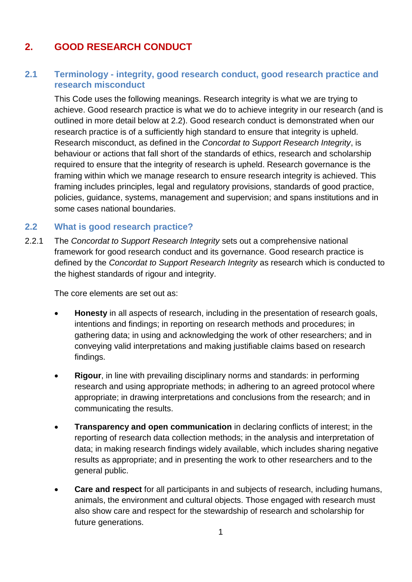## **2. GOOD RESEARCH CONDUCT**

## **2.1 Terminology - integrity, good research conduct, good research practice and research misconduct**

This Code uses the following meanings. Research integrity is what we are trying to achieve. Good research practice is what we do to achieve integrity in our research (and is outlined in more detail below at 2.2). Good research conduct is demonstrated when our research practice is of a sufficiently high standard to ensure that integrity is upheld. Research misconduct, as defined in the *Concordat to Support Research Integrity*, is behaviour or actions that fall short of the standards of ethics, research and scholarship required to ensure that the integrity of research is upheld. Research governance is the framing within which we manage research to ensure research integrity is achieved. This framing includes principles, legal and regulatory provisions, standards of good practice, policies, guidance, systems, management and supervision; and spans institutions and in some cases national boundaries.

## **2.2 What is good research practice?**

2.2.1 The *Concordat to Support Research Integrity* sets out a comprehensive national framework for good research conduct and its governance. Good research practice is defined by the *Concordat to Support Research Integrity* as research which is conducted to the highest standards of rigour and integrity.

The core elements are set out as:

- **Honesty** in all aspects of research, including in the presentation of research goals, intentions and findings; in reporting on research methods and procedures; in gathering data; in using and acknowledging the work of other researchers; and in conveying valid interpretations and making justifiable claims based on research findings.
- **Rigour**, in line with prevailing disciplinary norms and standards: in performing research and using appropriate methods; in adhering to an agreed protocol where appropriate; in drawing interpretations and conclusions from the research; and in communicating the results.
- **Transparency and open communication** in declaring conflicts of interest; in the reporting of research data collection methods; in the analysis and interpretation of data; in making research findings widely available, which includes sharing negative results as appropriate; and in presenting the work to other researchers and to the general public.
- **Care and respect** for all participants in and subjects of research, including humans, animals, the environment and cultural objects. Those engaged with research must also show care and respect for the stewardship of research and scholarship for future generations.